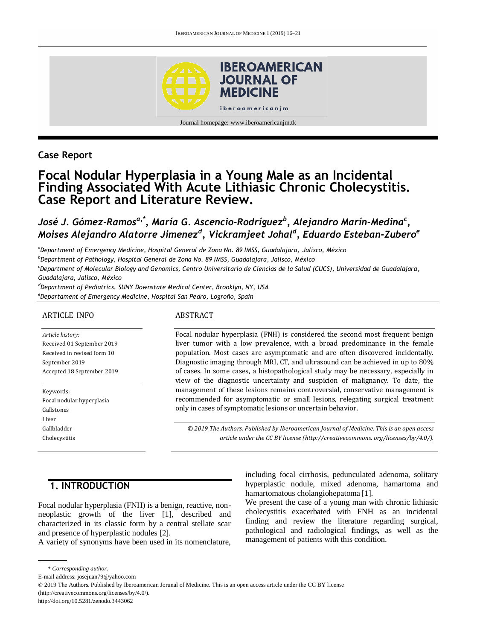

# **Case Report**

# **Focal Nodular Hyperplasia in a Young Male as an Incidental Finding Associated With Acute Lithiasic Chronic Cholecystitis. Case Report and Literature Review.**

*José J. Gómez-Ramosa,\*, María G. Ascencio-Rodríguez<sup>b</sup> , Alejandro Marín-Medina<sup>c</sup> , Moises Alejandro Alatorre Jimenez<sup>d</sup> , Vickramjeet Johal<sup>d</sup> , Eduardo Esteban-Zubero<sup>e</sup>*

*<sup>a</sup>Department of Emergency Medicine, Hospital General de Zona No. 89 IMSS, Guadalajara, Jalisco, México*

*<sup>b</sup>Department of Pathology, Hospital General de Zona No. 89 IMSS, Guadalajara, Jalisco, México*

*<sup>c</sup>Department of Molecular Biology and Genomics, Centro Universitario de Ciencias de la Salud (CUCS), Universidad de Guadalajara, Guadalajara, Jalisco, México*

*<sup>d</sup>Department of Pediatrics, SUNY Downstate Medical Center, Brooklyn, NY, USA <sup>e</sup>Departament of Emergency Medicine, Hospital San Pedro, Logroño, Spain*

#### ARTICLE INFO

*Article history:*  Received 01 September 2019 Received in revised form 10 September 2019 Accepted 18 September 2019

Keywords: Focal nodular hyperplasia Gallstones Liver Gallbladder Cholecystitis

#### ABSTRACT

Focal nodular hyperplasia (FNH) is considered the second most frequent benign liver tumor with a low prevalence, with a broad predominance in the female population. Most cases are asymptomatic and are often discovered incidentally. Diagnostic imaging through MRI, CT, and ultrasound can be achieved in up to 80% of cases. In some cases, a histopathological study may be necessary, especially in view of the diagnostic uncertainty and suspicion of malignancy. To date, the management of these lesions remains controversial, conservative management is recommended for asymptomatic or small lesions, relegating surgical treatment only in cases of symptomatic lesions or uncertain behavior.

*© 2019 The Authors. Published by Iberoamerican Journal of Medicine. This is an open access article under the CC BY license (http:/[/creativecommons. org/licenses/by/4.0/\)](https://creativecommons.org/licenses/by/4.0/).*

# **1. INTRODUCTION**

Focal nodular hyperplasia (FNH) is a benign, reactive, nonneoplastic growth of the liver [1], described and characterized in its classic form by a central stellate scar and presence of hyperplastic nodules [2].

A variety of synonyms have been used in its nomenclature,

including focal cirrhosis, pedunculated adenoma, solitary hyperplastic nodule, mixed adenoma, hamartoma and hamartomatous cholangiohepatoma [1].

We present the case of a young man with chronic lithiasic cholecystitis exacerbated with FNH as an incidental finding and review the literature regarding surgical, pathological and radiological findings, as well as the management of patients with this condition.

<sup>\*</sup> *Corresponding author.*

E-mail address: josejuan79@yahoo.com

<sup>© 2019</sup> The Authors. Published by Iberoamerican Jorunal of Medicine. This is an open access article under the CC BY license

<sup>(</sup>http://creativecommons.org/licenses/by/4.0/).

http://doi.org/10.5281/zenodo.3443062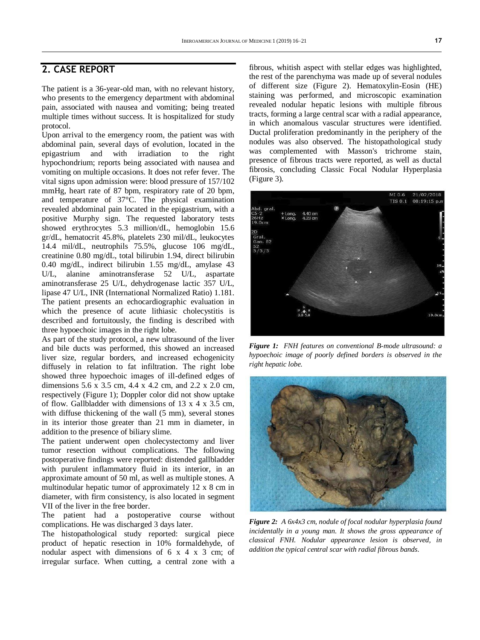## **2. CASE REPORT**

The patient is a 36-year-old man, with no relevant history, who presents to the emergency department with abdominal pain, associated with nausea and vomiting; being treated multiple times without success. It is hospitalized for study protocol.

Upon arrival to the emergency room, the patient was with abdominal pain, several days of evolution, located in the epigastrium and with irradiation to the right hypochondrium; reports being associated with nausea and vomiting on multiple occasions. It does not refer fever. The vital signs upon admission were: blood pressure of 157/102 mmHg, heart rate of 87 bpm, respiratory rate of 20 bpm, and temperature of 37°C. The physical examination revealed abdominal pain located in the epigastrium, with a positive Murphy sign. The requested laboratory tests showed erythrocytes 5.3 million/dL, hemoglobin 15.6 gr/dL, hematocrit 45.8%, platelets 230 mil/dL, leukocytes 14.4 mil/dL, neutrophils 75.5%, glucose 106 mg/dL, creatinine 0.80 mg/dL, total bilirubin 1.94, direct bilirubin 0.40 mg/dL, indirect bilirubin 1.55 mg/dL, amylase 43 U/L, alanine aminotransferase 52 U/L, aspartate aminotransferase 25 U/L, dehydrogenase lactic 357 U/L, lipase 47 U/L, INR (International Normalized Ratio) 1.181. The patient presents an echocardiographic evaluation in which the presence of acute lithiasic cholecystitis is described and fortuitously, the finding is described with three hypoechoic images in the right lobe.

As part of the study protocol, a new ultrasound of the liver and bile ducts was performed, this showed an increased liver size, regular borders, and increased echogenicity diffusely in relation to fat infiltration. The right lobe showed three hypoechoic images of ill-defined edges of dimensions 5.6 x 3.5 cm, 4.4 x 4.2 cm, and 2.2 x 2.0 cm, respectively (Figure 1); Doppler color did not show uptake of flow. Gallbladder with dimensions of 13 x 4 x 3.5 cm, with diffuse thickening of the wall (5 mm), several stones in its interior those greater than 21 mm in diameter, in addition to the presence of biliary slime.

The patient underwent open cholecystectomy and liver tumor resection without complications. The following postoperative findings were reported: distended gallbladder with purulent inflammatory fluid in its interior, in an approximate amount of 50 ml, as well as multiple stones. A multinodular hepatic tumor of approximately 12 x 8 cm in diameter, with firm consistency, is also located in segment VII of the liver in the free border.

The patient had a postoperative course without complications. He was discharged 3 days later.

The histopathological study reported: surgical piece product of hepatic resection in 10% formaldehyde, of nodular aspect with dimensions of  $6 \times 4 \times 3$  cm; of irregular surface. When cutting, a central zone with a

fibrous, whitish aspect with stellar edges was highlighted, the rest of the parenchyma was made up of several nodules of different size (Figure 2). Hematoxylin-Eosin (HE) staining was performed, and microscopic examination revealed nodular hepatic lesions with multiple fibrous tracts, forming a large central scar with a radial appearance, in which anomalous vascular structures were identified. Ductal proliferation predominantly in the periphery of the nodules was also observed. The histopathological study was complemented with Masson's trichrome stain, presence of fibrous tracts were reported, as well as ductal fibrosis, concluding Classic Focal Nodular Hyperplasia (Figure 3).



*Figure 1: FNH features on conventional B-mode ultrasound: a hypoechoic image of poorly defined borders is observed in the right hepatic lobe.*



*Figure 2: A 6x4x3 cm, nodule of focal nodular hyperplasia found incidentally in a young man. It shows the gross appearance of classical FNH. Nodular appearance lesion is observed, in addition the typical central scar with radial fibrous bands.*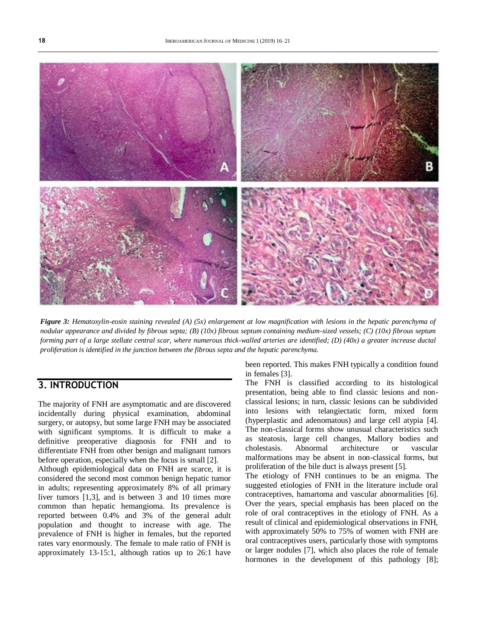

*Figure 3: Hematoxylin-eosin staining revealed (A) (5x) enlargement at low magnification with lesions in the hepatic parenchyma of nodular appearance and divided by fibrous septa; (B) (10x) fibrous septum containing medium-sized vessels; (C) (10x) fibrous septum forming part of a large stellate central scar, where numerous thick-walled arteries are identified; (D) (40x) a greater increase ductal proliferation is identified in the junction between the fibrous septa and the hepatic parenchyma.*

### **3. INTRODUCTION**

The majority of FNH are asymptomatic and are discovered incidentally during physical examination, abdominal surgery, or autopsy, but some large FNH may be associated with significant symptoms. It is difficult to make a definitive preoperative diagnosis for FNH and to differentiate FNH from other benign and malignant tumors before operation, especially when the focus is small [2].

Although epidemiological data on FNH are scarce, it is considered the second most common benign hepatic tumor in adults; representing approximately 8% of all primary liver tumors [1,3], and is between 3 and 10 times more common than hepatic hemangioma. Its prevalence is reported between 0.4% and 3% of the general adult population and thought to increase with age. The prevalence of FNH is higher in females, but the reported rates vary enormously. The female to male ratio of FNH is approximately 13-15:1, although ratios up to 26:1 have

been reported. This makes FNH typically a condition found in females [3].

The FNH is classified according to its histological presentation, being able to find classic lesions and nonclassical lesions; in turn, classic lesions can be subdivided into lesions with telangiectatic form, mixed form (hyperplastic and adenomatous) and large cell atypia [4]. The non-classical forms show unusual characteristics such as steatosis, large cell changes, Mallory bodies and cholestasis. Abnormal architecture or vascular malformations may be absent in non-classical forms, but proliferation of the bile duct is always present [5].

The etiology of FNH continues to be an enigma. The suggested etiologies of FNH in the literature include oral contraceptives, hamartoma and vascular abnormalities [6]. Over the years, special emphasis has been placed on the role of oral contraceptives in the etiology of FNH. As a result of clinical and epidemiological observations in FNH, with approximately 50% to 75% of women with FNH are oral contraceptives users, particularly those with symptoms or larger nodules [7], which also places the role of female hormones in the development of this pathology [8];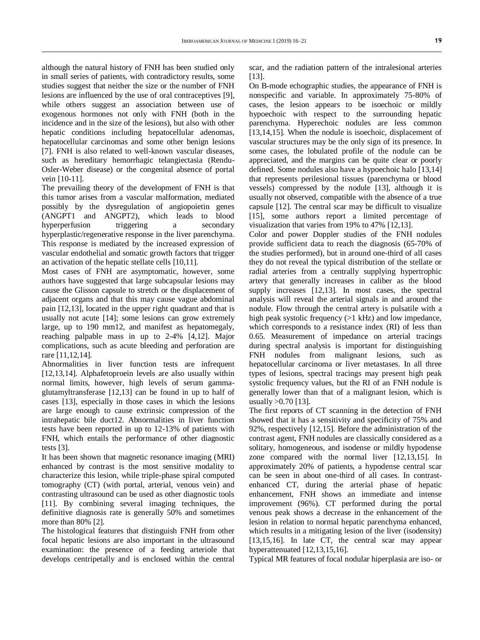although the natural history of FNH has been studied only in small series of patients, with contradictory results, some studies suggest that neither the size or the number of FNH lesions are influenced by the use of oral contraceptives [9], while others suggest an association between use of exogenous hormones not only with FNH (both in the incidence and in the size of the lesions), but also with other hepatic conditions including hepatocellular adenomas, hepatocellular carcinomas and some other benign lesions [7]. FNH is also related to well-known vascular diseases, such as hereditary hemorrhagic telangiectasia (Rendu-Osler-Weber disease) or the congenital absence of portal vein [10-11].

The prevailing theory of the development of FNH is that this tumor arises from a vascular malformation, mediated possibly by the dysregulation of angiopoietin genes (ANGPT1 and ANGPT2), which leads to blood hyperperfusion triggering a secondary hyperplastic/regenerative response in the liver parenchyma. This response is mediated by the increased expression of vascular endothelial and somatic growth factors that trigger an activation of the hepatic stellate cells [10,11].

Most cases of FNH are asymptomatic, however, some authors have suggested that large subcapsular lesions may cause the Glisson capsule to stretch or the displacement of adjacent organs and that this may cause vague abdominal pain [12,13], located in the upper right quadrant and that is usually not acute [14]; some lesions can grow extremely large, up to 190 mm12, and manifest as hepatomegaly, reaching palpable mass in up to 2-4% [4,12]. Major complications, such as acute bleeding and perforation are rare [11,12,14].

Abnormalities in liver function tests are infrequent [12,13,14]. Alphafetoproein levels are also usually within normal limits, however, high levels of serum gammaglutamyltransferase [12,13] can be found in up to half of cases [13], especially in those cases in which the lesions are large enough to cause extrinsic compression of the intrahepatic bile duct12. Abnormalities in liver function tests have been reported in up to 12-13% of patients with FNH, which entails the performance of other diagnostic tests [3].

It has been shown that magnetic resonance imaging (MRI) enhanced by contrast is the most sensitive modality to characterize this lesion, while triple-phase spiral computed tomography (CT) (with portal, arterial, venous vein) and contrasting ultrasound can be used as other diagnostic tools [11]. By combining several imaging techniques, the definitive diagnosis rate is generally 50% and sometimes more than 80% [2].

The histological features that distinguish FNH from other focal hepatic lesions are also important in the ultrasound examination: the presence of a feeding arteriole that develops centripetally and is enclosed within the central

scar, and the radiation pattern of the intralesional arteries [13].

On B-mode echographic studies, the appearance of FNH is nonspecific and variable. In approximately 75-80% of cases, the lesion appears to be isoechoic or mildly hypoechoic with respect to the surrounding hepatic parenchyma. Hyperechoic nodules are less common [13,14,15]. When the nodule is isoechoic, displacement of vascular structures may be the only sign of its presence. In some cases, the lobulated profile of the nodule can be appreciated, and the margins can be quite clear or poorly defined. Some nodules also have a hypoechoic halo [13,14] that represents perilesional tissues (parenchyma or blood vessels) compressed by the nodule [13], although it is usually not observed, compatible with the absence of a true capsule [12]. The central scar may be difficult to visualize [15], some authors report a limited percentage of visualization that varies from 19% to 47% [12,13].

Color and power Doppler studies of the FNH nodules provide sufficient data to reach the diagnosis (65-70% of the studies performed), but in around one-third of all cases they do not reveal the typical distribution of the stellate or radial arteries from a centrally supplying hypertrophic artery that generally increases in caliber as the blood supply increases [12,13]. In most cases, the spectral analysis will reveal the arterial signals in and around the nodule. Flow through the central artery is pulsatile with a high peak systolic frequency (>1 kHz) and low impedance, which corresponds to a resistance index (RI) of less than 0.65. Measurement of impedance on arterial tracings during spectral analysis is important for distinguishing FNH nodules from malignant lesions, such as hepatocellular carcinoma or liver metastases. In all three types of lesions, spectral tracings may present high peak systolic frequency values, but the RI of an FNH nodule is generally lower than that of a malignant lesion, which is usually >0.70 [13].

The first reports of CT scanning in the detection of FNH showed that it has a sensitivity and specificity of 75% and 92%, respectively [12,15]. Before the administration of the contrast agent, FNH nodules are classically considered as a solitary, homogeneous, and isodense or mildly hypodense zone compared with the normal liver [12,13,15]. In approximately 20% of patients, a hypodense central scar can be seen in about one-third of all cases. In contrastenhanced CT, during the arterial phase of hepatic enhancement, FNH shows an immediate and intense improvement (96%). CT performed during the portal venous peak shows a decrease in the enhancement of the lesion in relation to normal hepatic parenchyma enhanced, which results in a mitigating lesion of the liver (isodensity) [13,15,16]. In late CT, the central scar may appear hyperattenuated [12,13,15,16].

Typical MR features of focal nodular hiperplasia are iso- or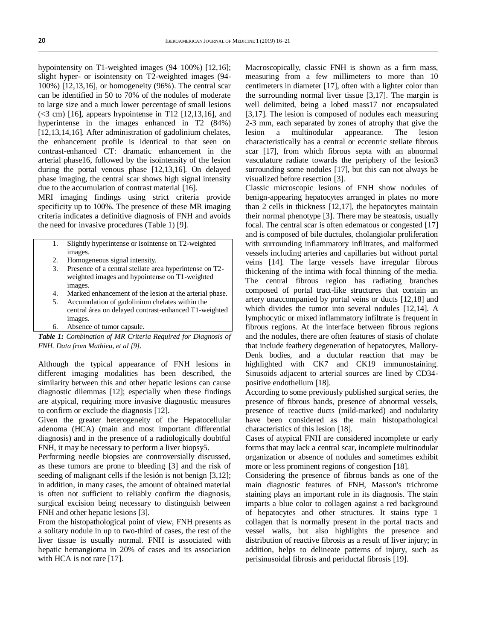hypointensity on T1-weighted images (94–100%) [12,16]; slight hyper- or isointensity on T2-weighted images (94- 100%) [12,13,16], or homogeneity (96%). The central scar can be identified in 50 to 70% of the nodules of moderate to large size and a much lower percentage of small lesions  $( $3 \text{ cm}$ )$  [16], appears hypointense in T12 [12,13,16], and hyperintense in the images enhanced in T2 (84%) [12,13,14,16]. After administration of gadolinium chelates, the enhancement profile is identical to that seen on contrast-enhanced CT: dramatic enhancement in the arterial phase16, followed by the isointensity of the lesion during the portal venous phase [12,13,16]. On delayed phase imaging, the central scar shows high signal intensity due to the accumulation of contrast material [16].

MRI imaging findings using strict criteria provide specificity up to 100%. The presence of these MR imaging criteria indicates a definitive diagnosis of FNH and avoids the need for invasive procedures (Table 1) [9].

- 1. Slightly hyperintense or isointense on T2-weighted images.
- 2. Homogeneous signal intensity.
- 3. Presence of a central stellate area hyperintense on T2 weighted images and hypointense on T1-weighted images.
- 4. Marked enhancement of the lesion at the arterial phase.
- 5. Accumulation of gadolinium chelates within the central área on delayed contrast-enhanced T1-weighted images.
- 6. Absence of tumor capsule.

*Table 1: Combination of MR Criteria Required for Diagnosis of FNH. Data from Mathieu, et al [9].*

Although the typical appearance of FNH lesions in different imaging modalities has been described, the similarity between this and other hepatic lesions can cause diagnostic dilemmas [12]; especially when these findings are atypical, requiring more invasive diagnostic measures to confirm or exclude the diagnosis [12].

Given the greater heterogeneity of the Hepatocellular adenoma (HCA) (main and most important differential diagnosis) and in the presence of a radiologically doubtful FNH, it may be necessary to perform a liver biopsy5.

Performing needle biopsies are controversially discussed, as these tumors are prone to bleeding [3] and the risk of seeding of malignant cells if the lesión is not benign [3,12]; in addition, in many cases, the amount of obtained material is often not sufficient to reliably confirm the diagnosis, surgical excision being necessary to distinguish between FNH and other hepatic lesions [3].

From the histopathological point of view, FNH presents as a solitary nodule in up to two-third of cases, the rest of the liver tissue is usually normal. FNH is associated with hepatic hemangioma in 20% of cases and its association with HCA is not rare [17].

Macroscopically, classic FNH is shown as a firm mass, measuring from a few millimeters to more than 10 centimeters in diameter [17], often with a lighter color than the surrounding normal liver tissue [3,17]. The margin is well delimited, being a lobed mass17 not encapsulated [3,17]. The lesion is composed of nodules each measuring 2-3 mm, each separated by zones of atrophy that give the lesion a multinodular appearance. The lesion characteristically has a central or eccentric stellate fibrous scar [17], from which fibrous septa with an abnormal vasculature radiate towards the periphery of the lesion3 surrounding some nodules [17], but this can not always be visualized before resection [3].

Classic microscopic lesions of FNH show nodules of benign-appearing hepatocytes arranged in plates no more than 2 cells in thickness [12,17], the hepatocytes maintain their normal phenotype [3]. There may be steatosis, usually focal. The central scar is often edematous or congested [17] and is composed of bile ductules, cholangiolar proliferation with surrounding inflammatory infiltrates, and malformed vessels including arteries and capillaries but without portal veins [14]. The large vessels have irregular fibrous thickening of the intima with focal thinning of the media. The central fibrous region has radiating branches composed of portal tract-like structures that contain an artery unaccompanied by portal veins or ducts [12,18] and which divides the tumor into several nodules [12,14]. A lymphocytic or mixed inflammatory infiltrate is frequent in fibrous regions. At the interface between fibrous regions and the nodules, there are often features of stasis of cholate that include feathery degeneration of hepatocytes, Mallory-Denk bodies, and a ductular reaction that may be highlighted with CK7 and CK19 immunostaining. Sinusoids adjacent to arterial sources are lined by CD34 positive endothelium [18].

According to some previously published surgical series, the presence of fibrous bands, presence of abnormal vessels, presence of reactive ducts (mild-marked) and nodularity have been considered as the main histopathological characteristics of this lesion [18].

Cases of atypical FNH are considered incomplete or early forms that may lack a central scar, incomplete multinodular organization or absence of nodules and sometimes exhibit more or less prominent regions of congestion [18].

Considering the presence of fibrous bands as one of the main diagnostic features of FNH, Masson's trichrome staining plays an important role in its diagnosis. The stain imparts a blue color to collagen against a red background of hepatocytes and other structures. It stains type 1 collagen that is normally present in the portal tracts and vessel walls, but also highlights the presence and distribution of reactive fibrosis as a result of liver injury; in addition, helps to delineate patterns of injury, such as perisinusoidal fibrosis and periductal fibrosis [19].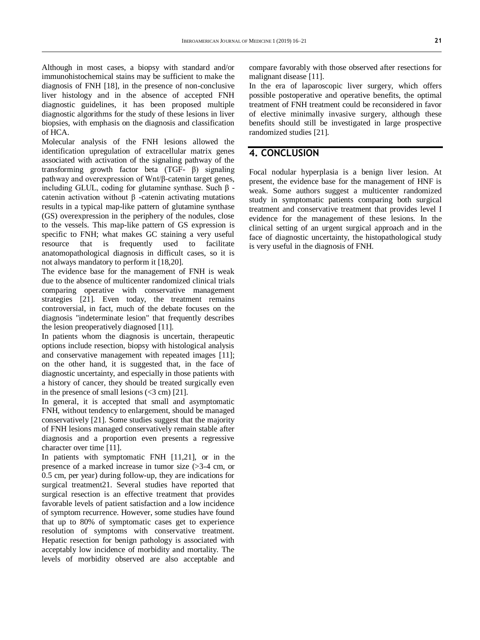Although in most cases, a biopsy with standard and/or immunohistochemical stains may be sufficient to make the diagnosis of FNH [18], in the presence of non-conclusive liver histology and in the absence of accepted FNH diagnostic guidelines, it has been proposed multiple diagnostic algorithms for the study of these lesions in liver biopsies, with emphasis on the diagnosis and classification of HCA.

Molecular analysis of the FNH lesions allowed the identification upregulation of extracellular matrix genes associated with activation of the signaling pathway of the transforming growth factor beta (TGF- β) signaling pathway and overexpression of Wnt/β-catenin target genes, including GLUL, coding for glutamine synthase. Such β catenin activation without β -catenin activating mutations results in a typical map-like pattern of glutamine synthase (GS) overexpression in the periphery of the nodules, close to the vessels. This map-like pattern of GS expression is specific to FNH; what makes GC staining a very useful resource that is frequently used to facilitate anatomopathological diagnosis in difficult cases, so it is not always mandatory to perform it [18,20].

The evidence base for the management of FNH is weak due to the absence of multicenter randomized clinical trials comparing operative with conservative management strategies [21]. Even today, the treatment remains controversial, in fact, much of the debate focuses on the diagnosis "indeterminate lesion" that frequently describes the lesion preoperatively diagnosed [11].

In patients whom the diagnosis is uncertain, therapeutic options include resection, biopsy with histological analysis and conservative management with repeated images [11]; on the other hand, it is suggested that, in the face of diagnostic uncertainty, and especially in those patients with a history of cancer, they should be treated surgically even in the presence of small lesions  $( $3 \text{ cm}$ )$  [21].

In general, it is accepted that small and asymptomatic FNH, without tendency to enlargement, should be managed conservatively [21]. Some studies suggest that the majority of FNH lesions managed conservatively remain stable after diagnosis and a proportion even presents a regressive character over time [11].

In patients with symptomatic FNH [11,21], or in the presence of a marked increase in tumor size (>3-4 cm, or 0.5 cm, per year) during follow-up, they are indications for surgical treatment21. Several studies have reported that surgical resection is an effective treatment that provides favorable levels of patient satisfaction and a low incidence of symptom recurrence. However, some studies have found that up to 80% of symptomatic cases get to experience resolution of symptoms with conservative treatment. Hepatic resection for benign pathology is associated with acceptably low incidence of morbidity and mortality. The levels of morbidity observed are also acceptable and compare favorably with those observed after resections for malignant disease [11].

In the era of laparoscopic liver surgery, which offers possible postoperative and operative benefits, the optimal treatment of FNH treatment could be reconsidered in favor of elective minimally invasive surgery, although these benefits should still be investigated in large prospective randomized studies [21].

### **4. CONCLUSION**

Focal nodular hyperplasia is a benign liver lesion. At present, the evidence base for the management of HNF is weak. Some authors suggest a multicenter randomized study in symptomatic patients comparing both surgical treatment and conservative treatment that provides level I evidence for the management of these lesions. In the clinical setting of an urgent surgical approach and in the face of diagnostic uncertainty, the histopathological study is very useful in the diagnosis of FNH.